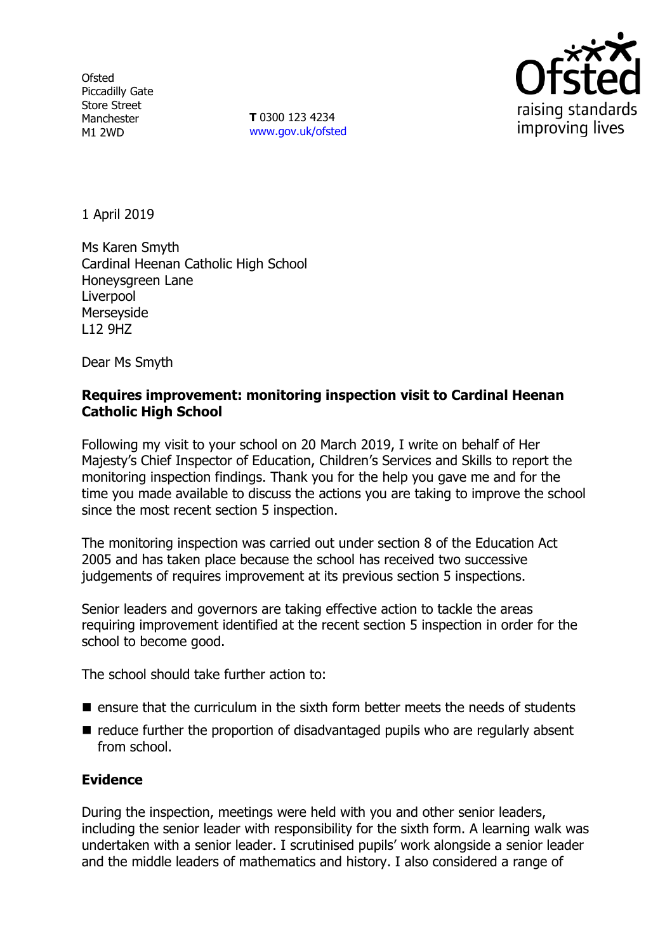**Ofsted** Piccadilly Gate Store Street Manchester M1 2WD

**T** 0300 123 4234 www.gov.uk/ofsted



1 April 2019

Ms Karen Smyth Cardinal Heenan Catholic High School Honeysgreen Lane Liverpool Merseyside L12 9HZ

Dear Ms Smyth

### **Requires improvement: monitoring inspection visit to Cardinal Heenan Catholic High School**

Following my visit to your school on 20 March 2019, I write on behalf of Her Majesty's Chief Inspector of Education, Children's Services and Skills to report the monitoring inspection findings. Thank you for the help you gave me and for the time you made available to discuss the actions you are taking to improve the school since the most recent section 5 inspection.

The monitoring inspection was carried out under section 8 of the Education Act 2005 and has taken place because the school has received two successive judgements of requires improvement at its previous section 5 inspections.

Senior leaders and governors are taking effective action to tackle the areas requiring improvement identified at the recent section 5 inspection in order for the school to become good.

The school should take further action to:

- $\blacksquare$  ensure that the curriculum in the sixth form better meets the needs of students
- $\blacksquare$  reduce further the proportion of disadvantaged pupils who are regularly absent from school.

## **Evidence**

During the inspection, meetings were held with you and other senior leaders, including the senior leader with responsibility for the sixth form. A learning walk was undertaken with a senior leader. I scrutinised pupils' work alongside a senior leader and the middle leaders of mathematics and history. I also considered a range of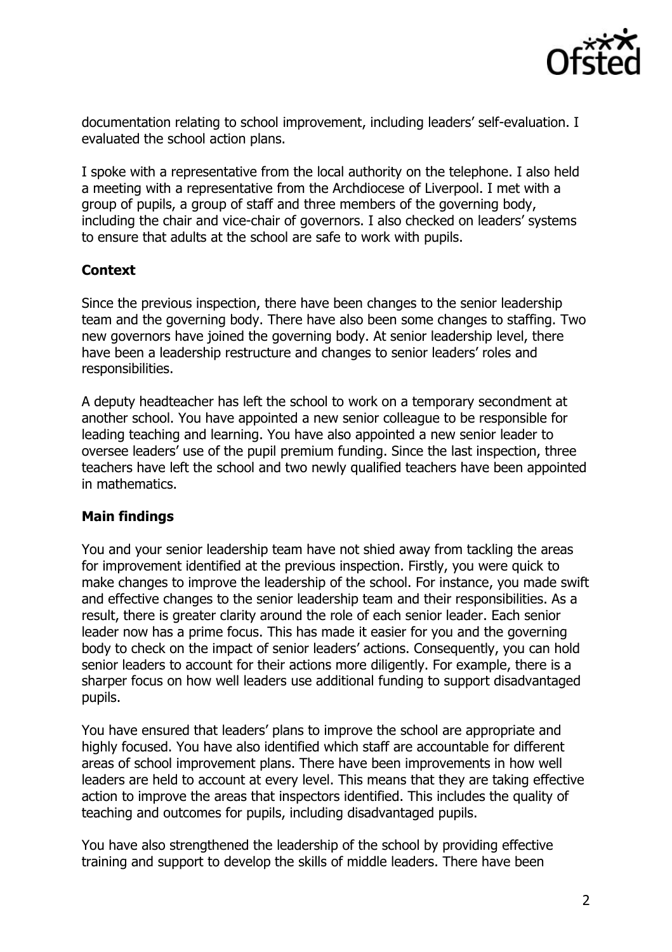

documentation relating to school improvement, including leaders' self-evaluation. I evaluated the school action plans.

I spoke with a representative from the local authority on the telephone. I also held a meeting with a representative from the Archdiocese of Liverpool. I met with a group of pupils, a group of staff and three members of the governing body, including the chair and vice-chair of governors. I also checked on leaders' systems to ensure that adults at the school are safe to work with pupils.

# **Context**

Since the previous inspection, there have been changes to the senior leadership team and the governing body. There have also been some changes to staffing. Two new governors have joined the governing body. At senior leadership level, there have been a leadership restructure and changes to senior leaders' roles and responsibilities.

A deputy headteacher has left the school to work on a temporary secondment at another school. You have appointed a new senior colleague to be responsible for leading teaching and learning. You have also appointed a new senior leader to oversee leaders' use of the pupil premium funding. Since the last inspection, three teachers have left the school and two newly qualified teachers have been appointed in mathematics.

## **Main findings**

You and your senior leadership team have not shied away from tackling the areas for improvement identified at the previous inspection. Firstly, you were quick to make changes to improve the leadership of the school. For instance, you made swift and effective changes to the senior leadership team and their responsibilities. As a result, there is greater clarity around the role of each senior leader. Each senior leader now has a prime focus. This has made it easier for you and the governing body to check on the impact of senior leaders' actions. Consequently, you can hold senior leaders to account for their actions more diligently. For example, there is a sharper focus on how well leaders use additional funding to support disadvantaged pupils.

You have ensured that leaders' plans to improve the school are appropriate and highly focused. You have also identified which staff are accountable for different areas of school improvement plans. There have been improvements in how well leaders are held to account at every level. This means that they are taking effective action to improve the areas that inspectors identified. This includes the quality of teaching and outcomes for pupils, including disadvantaged pupils.

You have also strengthened the leadership of the school by providing effective training and support to develop the skills of middle leaders. There have been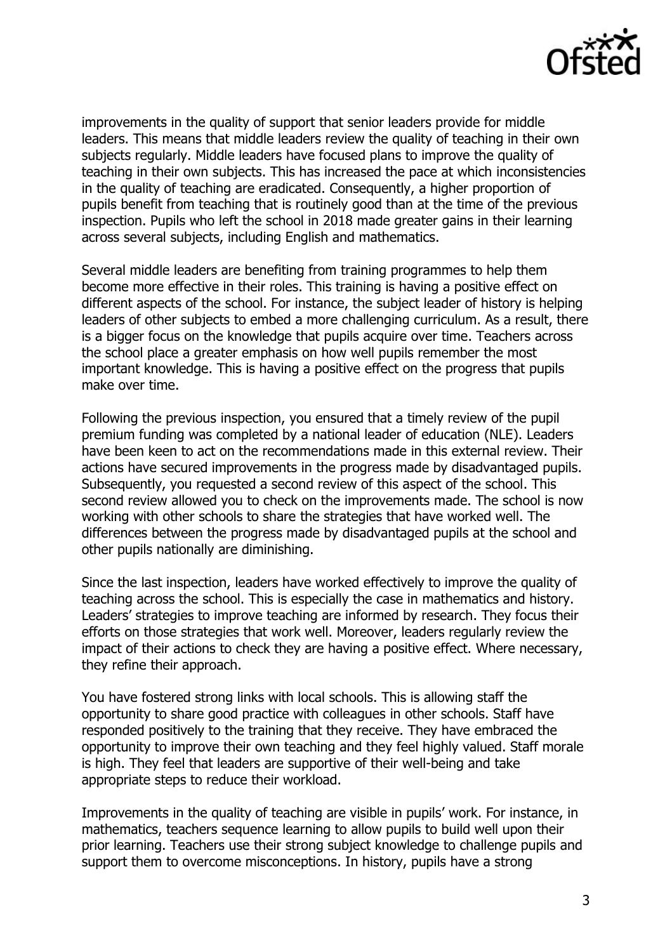

improvements in the quality of support that senior leaders provide for middle leaders. This means that middle leaders review the quality of teaching in their own subjects regularly. Middle leaders have focused plans to improve the quality of teaching in their own subjects. This has increased the pace at which inconsistencies in the quality of teaching are eradicated. Consequently, a higher proportion of pupils benefit from teaching that is routinely good than at the time of the previous inspection. Pupils who left the school in 2018 made greater gains in their learning across several subjects, including English and mathematics.

Several middle leaders are benefiting from training programmes to help them become more effective in their roles. This training is having a positive effect on different aspects of the school. For instance, the subject leader of history is helping leaders of other subjects to embed a more challenging curriculum. As a result, there is a bigger focus on the knowledge that pupils acquire over time. Teachers across the school place a greater emphasis on how well pupils remember the most important knowledge. This is having a positive effect on the progress that pupils make over time.

Following the previous inspection, you ensured that a timely review of the pupil premium funding was completed by a national leader of education (NLE). Leaders have been keen to act on the recommendations made in this external review. Their actions have secured improvements in the progress made by disadvantaged pupils. Subsequently, you requested a second review of this aspect of the school. This second review allowed you to check on the improvements made. The school is now working with other schools to share the strategies that have worked well. The differences between the progress made by disadvantaged pupils at the school and other pupils nationally are diminishing.

Since the last inspection, leaders have worked effectively to improve the quality of teaching across the school. This is especially the case in mathematics and history. Leaders' strategies to improve teaching are informed by research. They focus their efforts on those strategies that work well. Moreover, leaders regularly review the impact of their actions to check they are having a positive effect. Where necessary, they refine their approach.

You have fostered strong links with local schools. This is allowing staff the opportunity to share good practice with colleagues in other schools. Staff have responded positively to the training that they receive. They have embraced the opportunity to improve their own teaching and they feel highly valued. Staff morale is high. They feel that leaders are supportive of their well-being and take appropriate steps to reduce their workload.

Improvements in the quality of teaching are visible in pupils' work. For instance, in mathematics, teachers sequence learning to allow pupils to build well upon their prior learning. Teachers use their strong subject knowledge to challenge pupils and support them to overcome misconceptions. In history, pupils have a strong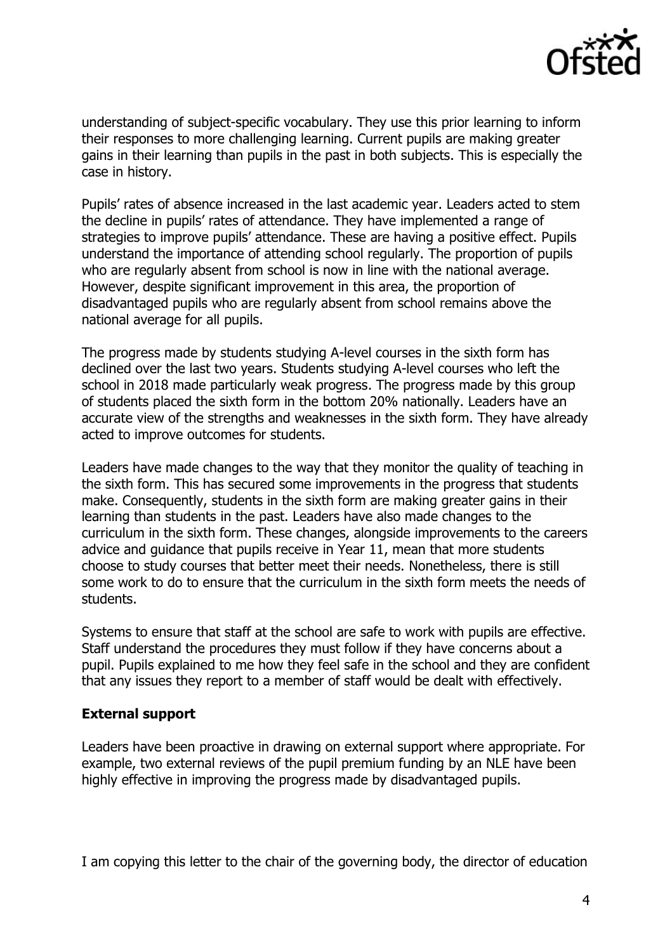

understanding of subject-specific vocabulary. They use this prior learning to inform their responses to more challenging learning. Current pupils are making greater gains in their learning than pupils in the past in both subjects. This is especially the case in history.

Pupils' rates of absence increased in the last academic year. Leaders acted to stem the decline in pupils' rates of attendance. They have implemented a range of strategies to improve pupils' attendance. These are having a positive effect. Pupils understand the importance of attending school regularly. The proportion of pupils who are regularly absent from school is now in line with the national average. However, despite significant improvement in this area, the proportion of disadvantaged pupils who are regularly absent from school remains above the national average for all pupils.

The progress made by students studying A-level courses in the sixth form has declined over the last two years. Students studying A-level courses who left the school in 2018 made particularly weak progress. The progress made by this group of students placed the sixth form in the bottom 20% nationally. Leaders have an accurate view of the strengths and weaknesses in the sixth form. They have already acted to improve outcomes for students.

Leaders have made changes to the way that they monitor the quality of teaching in the sixth form. This has secured some improvements in the progress that students make. Consequently, students in the sixth form are making greater gains in their learning than students in the past. Leaders have also made changes to the curriculum in the sixth form. These changes, alongside improvements to the careers advice and guidance that pupils receive in Year 11, mean that more students choose to study courses that better meet their needs. Nonetheless, there is still some work to do to ensure that the curriculum in the sixth form meets the needs of students.

Systems to ensure that staff at the school are safe to work with pupils are effective. Staff understand the procedures they must follow if they have concerns about a pupil. Pupils explained to me how they feel safe in the school and they are confident that any issues they report to a member of staff would be dealt with effectively.

## **External support**

Leaders have been proactive in drawing on external support where appropriate. For example, two external reviews of the pupil premium funding by an NLE have been highly effective in improving the progress made by disadvantaged pupils.

I am copying this letter to the chair of the governing body, the director of education